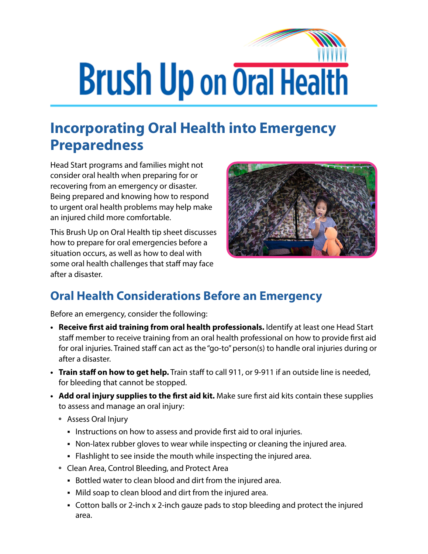## **Brush Up on Oral Health**

## **Incorporating Oral Health into Emergency Preparedness**

Head Start programs and families might not consider oral health when preparing for or recovering from an emergency or disaster. Being prepared and knowing how to respond to urgent oral health problems may help make an injured child more comfortable.

This Brush Up on Oral Health tip sheet discusses how to prepare for oral emergencies before a situation occurs, as well as how to deal with some oral health challenges that staff may face after a disaster.



## **Oral Health Considerations Before an Emergency**

Before an emergency, consider the following:

- **• Receive first aid training from oral health professionals.** Identify at least one Head Start staff member to receive training from an oral health professional on how to provide first aid for oral injuries. Trained staff can act as the "go-to" person(s) to handle oral injuries during or after a disaster.
- **• Train staff on how to get help.** Train staff to call 911, or 9-911 if an outside line is needed, for bleeding that cannot be stopped.
- **• Add oral injury supplies to the first aid kit.** Make sure first aid kits contain these supplies to assess and manage an oral injury:
	- **º** Assess Oral Injury
		- Instructions on how to assess and provide first aid to oral injuries.
		- Non-latex rubber gloves to wear while inspecting or cleaning the injured area.
		- Flashlight to see inside the mouth while inspecting the injured area.
	- **º** Clean Area, Control Bleeding, and Protect Area
		- Bottled water to clean blood and dirt from the injured area.
		- Mild soap to clean blood and dirt from the injured area.
		- Cotton balls or 2-inch x 2-inch gauze pads to stop bleeding and protect the injured area.